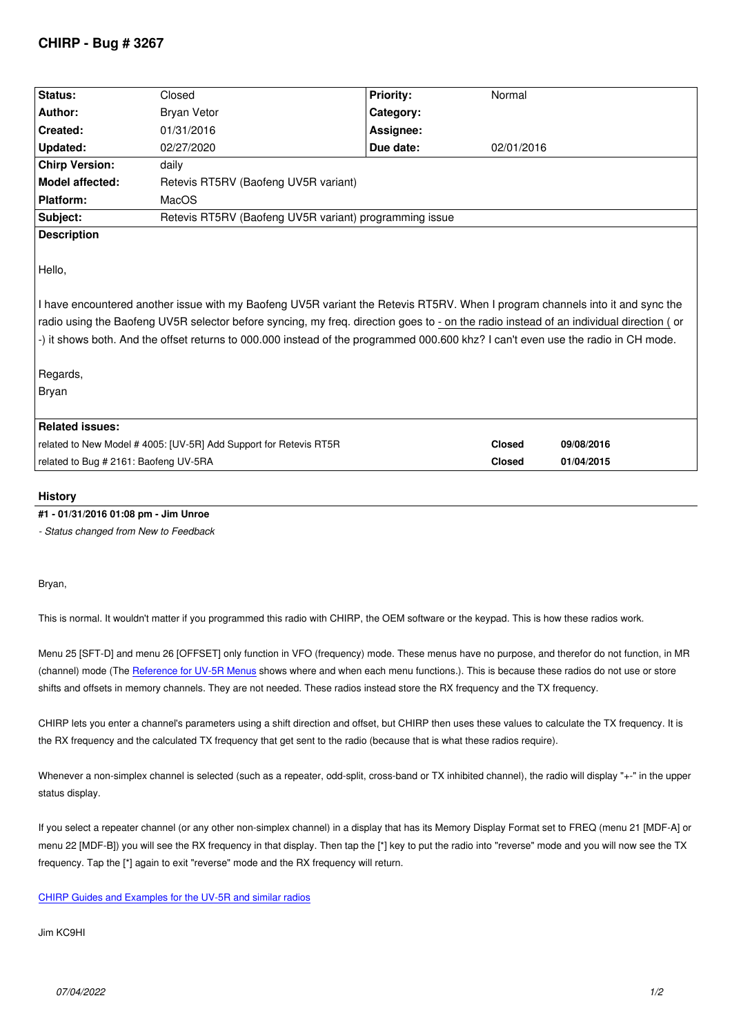| Status:                                                                                                                                                                                                                                                                                                                                                                                                                                     | Closed                                                 | <b>Priority:</b> | Normal        |            |
|---------------------------------------------------------------------------------------------------------------------------------------------------------------------------------------------------------------------------------------------------------------------------------------------------------------------------------------------------------------------------------------------------------------------------------------------|--------------------------------------------------------|------------------|---------------|------------|
|                                                                                                                                                                                                                                                                                                                                                                                                                                             |                                                        |                  |               |            |
| Author:                                                                                                                                                                                                                                                                                                                                                                                                                                     | <b>Bryan Vetor</b>                                     | Category:        |               |            |
| Created:                                                                                                                                                                                                                                                                                                                                                                                                                                    | 01/31/2016                                             | Assignee:        |               |            |
| <b>Updated:</b>                                                                                                                                                                                                                                                                                                                                                                                                                             | 02/27/2020                                             | Due date:        | 02/01/2016    |            |
| <b>Chirp Version:</b>                                                                                                                                                                                                                                                                                                                                                                                                                       | daily                                                  |                  |               |            |
| <b>Model affected:</b>                                                                                                                                                                                                                                                                                                                                                                                                                      | Retevis RT5RV (Baofeng UV5R variant)                   |                  |               |            |
| Platform:                                                                                                                                                                                                                                                                                                                                                                                                                                   | MacOS                                                  |                  |               |            |
| Subject:                                                                                                                                                                                                                                                                                                                                                                                                                                    | Retevis RT5RV (Baofeng UV5R variant) programming issue |                  |               |            |
| <b>Description</b>                                                                                                                                                                                                                                                                                                                                                                                                                          |                                                        |                  |               |            |
| Hello,<br>I have encountered another issue with my Baofeng UV5R variant the Retevis RT5RV. When I program channels into it and sync the<br>radio using the Baofeng UV5R selector before syncing, my freq. direction goes to - on the radio instead of an individual direction (or<br>-) it shows both. And the offset returns to 000.000 instead of the programmed 000.600 khz? I can't even use the radio in CH mode.<br>Regards,<br>Bryan |                                                        |                  |               |            |
| <b>Related issues:</b>                                                                                                                                                                                                                                                                                                                                                                                                                      |                                                        |                  |               |            |
| related to New Model # 4005: [UV-5R] Add Support for Retevis RT5R                                                                                                                                                                                                                                                                                                                                                                           |                                                        |                  | <b>Closed</b> | 09/08/2016 |
| related to Bug # 2161: Baofeng UV-5RA                                                                                                                                                                                                                                                                                                                                                                                                       |                                                        |                  | <b>Closed</b> | 01/04/2015 |
|                                                                                                                                                                                                                                                                                                                                                                                                                                             |                                                        |                  |               |            |

### **History**

### **#1 - 01/31/2016 01:08 pm - Jim Unroe**

*- Status changed from New to Feedback*

*Bryan,*

*This is normal. It wouldn't matter if you programmed this radio with CHIRP, the OEM software or the keypad. This is how these radios work.*

*Menu 25 [SFT-D] and menu 26 [OFFSET] only function in VFO (frequency) mode. These menus have no purpose, and therefor do not function, in MR (channel) mode (The Reference for UV-5R Menus shows where and when each menu functions.). This is because these radios do not use or store shifts and offsets in memory channels. They are not needed. These radios instead store the RX frequency and the TX frequency.*

*CHIRP lets you enter a channel's parameters using a shift direction and offset, but CHIRP then uses these values to calculate the TX frequency. It is the RX frequency an[d the calculated TX frequency](http://www.miklor.com/COM/UV_MenuDef.php) that get sent to the radio (because that is what these radios require).*

*Whenever a non-simplex channel is selected (such as a repeater, odd-split, cross-band or TX inhibited channel), the radio will display "+-" in the upper status display.*

*If you select a repeater channel (or any other non-simplex channel) in a display that has its Memory Display Format set to FREQ (menu 21 [MDF-A] or menu 22 [MDF-B]) you will see the RX frequency in that display. Then tap the [\*] key to put the radio into "reverse" mode and you will now see the TX frequency. Tap the [\*] again to exit "reverse" mode and the RX frequency will return.*

#### *CHIRP Guides and Examples for the UV-5R and similar radios*

*Jim KC9HI*